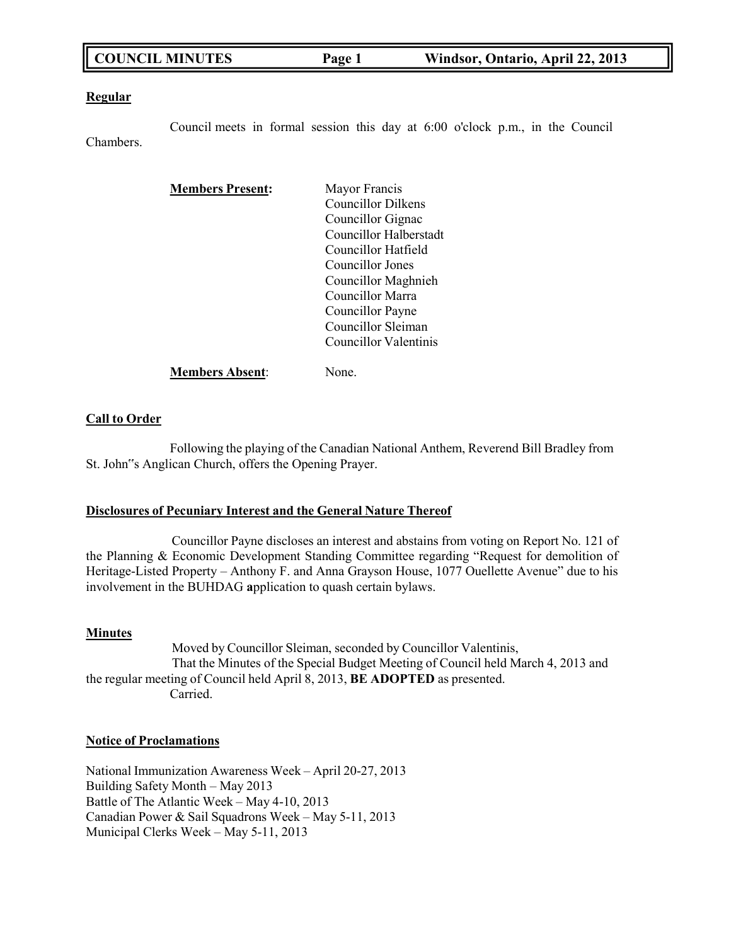| <b>COUNCIL MINUTES</b> | Page 1 | Windsor, Ontario, April 22, 2013 |
|------------------------|--------|----------------------------------|
|------------------------|--------|----------------------------------|

### **Regular**

Council meets in formal session this day at 6:00 o'clock p.m., in the Council Chambers.

| <b>Members Present:</b> | Mayor Francis          |
|-------------------------|------------------------|
|                         | Councillor Dilkens     |
|                         | Councillor Gignac      |
|                         | Councillor Halberstadt |
|                         | Councillor Hatfield    |
|                         | Councillor Jones       |
|                         | Councillor Maghnieh    |
|                         | Councillor Marra       |
|                         | Councillor Payne       |
|                         | Councillor Sleiman     |
|                         | Councillor Valentinis  |
| <b>Members Absent:</b>  | None.                  |

### **Call to Order**

Following the playing of the Canadian National Anthem, Reverend Bill Bradley from St. John"s Anglican Church, offers the Opening Prayer.

### **Disclosures of Pecuniary Interest and the General Nature Thereof**

Councillor Payne discloses an interest and abstains from voting on Report No. 121 of the Planning & Economic Development Standing Committee regarding "Request for demolition of Heritage-Listed Property – Anthony F. and Anna Grayson House, 1077 Ouellette Avenue" due to his involvement in the BUHDAG **a**pplication to quash certain bylaws.

### **Minutes**

Moved by Councillor Sleiman, seconded by Councillor Valentinis, That the Minutes of the Special Budget Meeting of Council held March 4, 2013 and the regular meeting of Council held April 8, 2013, **BE ADOPTED** as presented. Carried.

# **Notice of Proclamations**

National Immunization Awareness Week – April 20-27, 2013 Building Safety Month – May 2013 Battle of The Atlantic Week – May 4-10, 2013 Canadian Power & Sail Squadrons Week – May 5-11, 2013 Municipal Clerks Week – May 5-11, 2013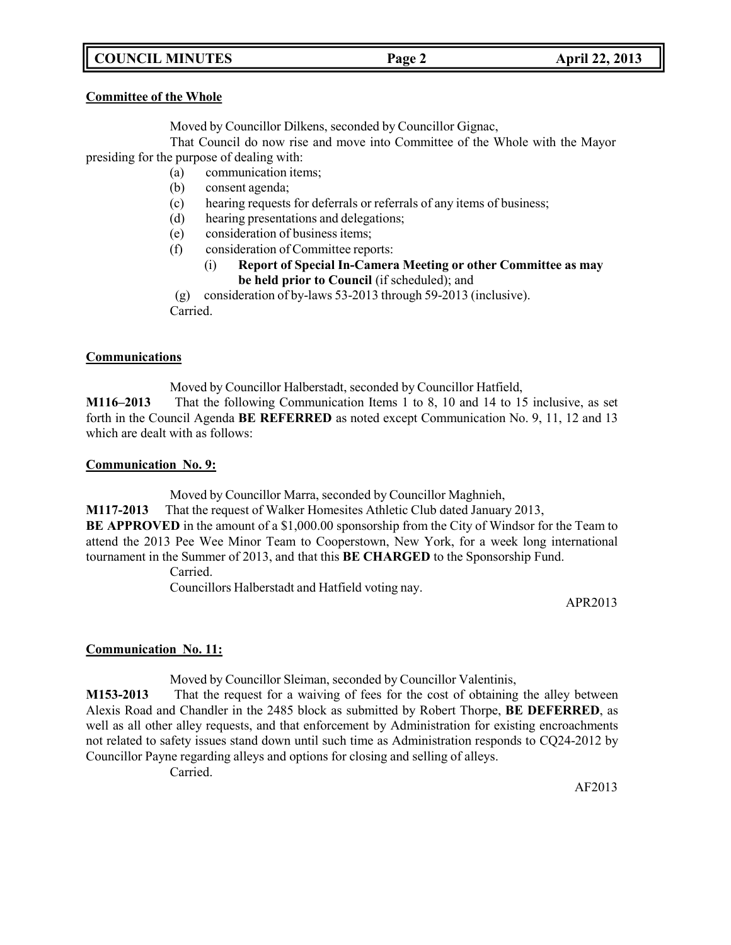# **COUNCIL MINUTES Page 2 April 22, 2013**

### **Committee of the Whole**

Moved by Councillor Dilkens, seconded by Councillor Gignac,

That Council do now rise and move into Committee of the Whole with the Mayor presiding for the purpose of dealing with:

- (a) communication items;
	- (b) consent agenda;
	- (c) hearing requests for deferrals or referrals of any items of business;
	- (d) hearing presentations and delegations;
	- (e) consideration of business items;
	- (f) consideration of Committee reports:
		- (i) **Report of Special In-Camera Meeting or other Committee as may be held prior to Council** (if scheduled); and

(g) consideration of by-laws 53-2013 through 59-2013 (inclusive). Carried.

# **Communications**

Moved by Councillor Halberstadt, seconded by Councillor Hatfield,

**M116–2013** That the following Communication Items 1 to 8, 10 and 14 to 15 inclusive, as set forth in the Council Agenda **BE REFERRED** as noted except Communication No. 9, 11, 12 and 13 which are dealt with as follows:

### **Communication No. 9:**

Moved by Councillor Marra, seconded by Councillor Maghnieh,

**M117-2013** That the request of Walker Homesites Athletic Club dated January 2013,

**BE APPROVED** in the amount of a \$1,000.00 sponsorship from the City of Windsor for the Team to attend the 2013 Pee Wee Minor Team to Cooperstown, New York, for a week long international tournament in the Summer of 2013, and that this **BE CHARGED** to the Sponsorship Fund.

Carried.

Councillors Halberstadt and Hatfield voting nay.

APR2013

# **Communication No. 11:**

Moved by Councillor Sleiman, seconded by Councillor Valentinis,

**M153-2013** That the request for a waiving of fees for the cost of obtaining the alley between Alexis Road and Chandler in the 2485 block as submitted by Robert Thorpe, **BE DEFERRED**, as well as all other alley requests, and that enforcement by Administration for existing encroachments not related to safety issues stand down until such time as Administration responds to CQ24-2012 by Councillor Payne regarding alleys and options for closing and selling of alleys.

Carried.

AF2013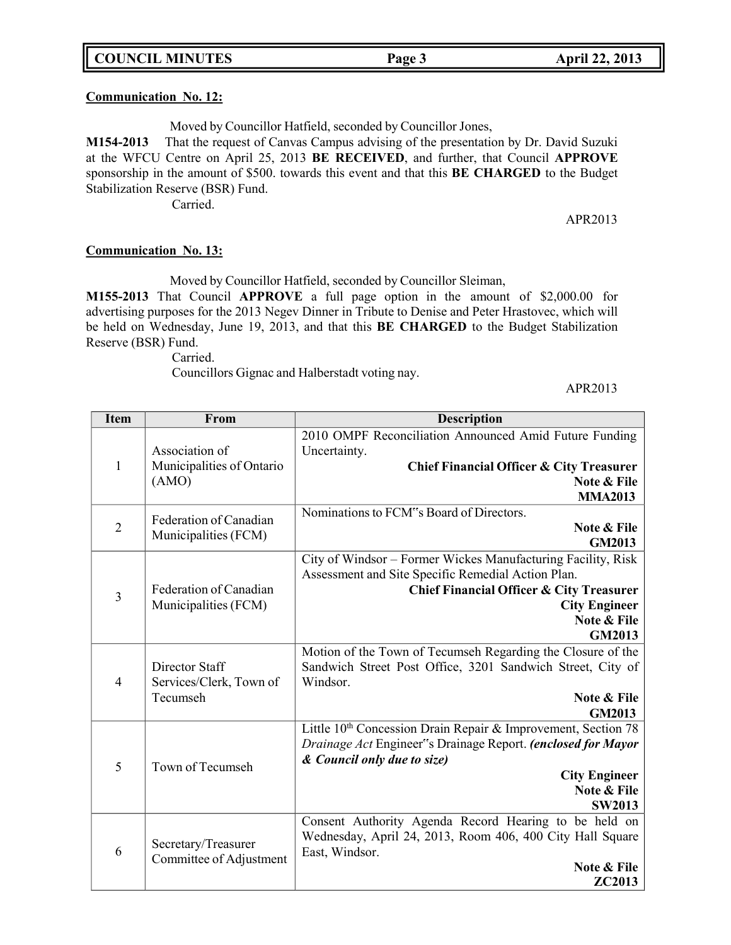### **Communication No. 12:**

Moved by Councillor Hatfield, seconded by Councillor Jones,

**M154-2013** That the request of Canvas Campus advising of the presentation by Dr. David Suzuki at the WFCU Centre on April 25, 2013 **BE RECEIVED**, and further, that Council **APPROVE** sponsorship in the amount of \$500. towards this event and that this **BE CHARGED** to the Budget Stabilization Reserve (BSR) Fund.

Carried.

### APR2013

### **Communication No. 13:**

Moved by Councillor Hatfield, seconded by Councillor Sleiman,

**M155-2013** That Council **APPROVE** a full page option in the amount of \$2,000.00 for advertising purposes for the 2013 Negev Dinner in Tribute to Denise and Peter Hrastovec, which will be held on Wednesday, June 19, 2013, and that this **BE CHARGED** to the Budget Stabilization Reserve (BSR) Fund.

Carried.

Councillors Gignac and Halberstadt voting nay.

APR2013

| <b>Item</b>    | From                                           | <b>Description</b>                                                          |
|----------------|------------------------------------------------|-----------------------------------------------------------------------------|
|                |                                                | 2010 OMPF Reconciliation Announced Amid Future Funding                      |
|                | Association of                                 | Uncertainty.                                                                |
| $\mathbf{1}$   | Municipalities of Ontario                      | <b>Chief Financial Officer &amp; City Treasurer</b>                         |
|                | (AMO)                                          | Note & File                                                                 |
|                |                                                | <b>MMA2013</b>                                                              |
|                | Federation of Canadian                         | Nominations to FCM"s Board of Directors.                                    |
| $\overline{2}$ | Municipalities (FCM)                           | Note & File                                                                 |
|                |                                                | <b>GM2013</b>                                                               |
|                |                                                | City of Windsor – Former Wickes Manufacturing Facility, Risk                |
|                | Federation of Canadian                         | Assessment and Site Specific Remedial Action Plan.                          |
| $\overline{3}$ | Municipalities (FCM)                           | <b>Chief Financial Officer &amp; City Treasurer</b><br><b>City Engineer</b> |
|                |                                                | Note & File                                                                 |
|                |                                                | <b>GM2013</b>                                                               |
|                |                                                | Motion of the Town of Tecumseh Regarding the Closure of the                 |
|                | Director Staff                                 | Sandwich Street Post Office, 3201 Sandwich Street, City of                  |
| $\overline{4}$ | Services/Clerk, Town of                        | Windsor.                                                                    |
|                | Tecumseh                                       | Note & File                                                                 |
|                |                                                | <b>GM2013</b>                                                               |
|                |                                                | Little 10 <sup>th</sup> Concession Drain Repair & Improvement, Section 78   |
|                |                                                | Drainage Act Engineer"s Drainage Report. (enclosed for Mayor                |
| 5              | Town of Tecumseh                               | & Council only due to size)                                                 |
|                |                                                | <b>City Engineer</b>                                                        |
|                |                                                | Note & File                                                                 |
|                |                                                | <b>SW2013</b>                                                               |
|                |                                                | Consent Authority Agenda Record Hearing to be held on                       |
|                | Secretary/Treasurer<br>Committee of Adjustment | Wednesday, April 24, 2013, Room 406, 400 City Hall Square                   |
| 6              |                                                | East, Windsor.                                                              |
|                |                                                | Note & File<br>ZC2013                                                       |
|                |                                                |                                                                             |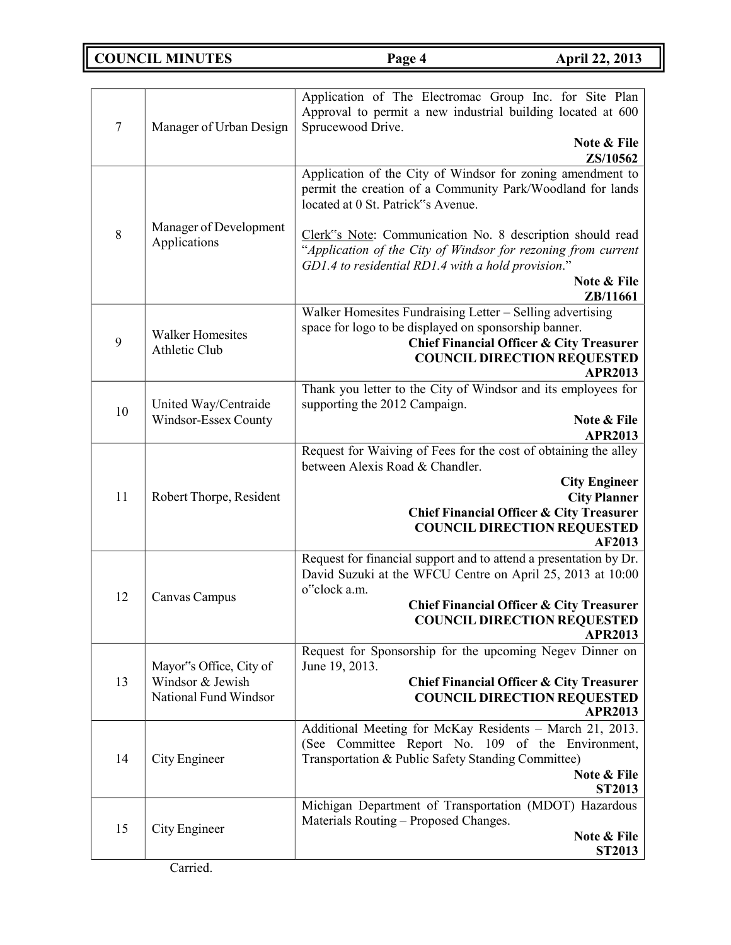**COUNCIL MINUTES Page 4 April 22, 2013**

| 7  | Manager of Urban Design                     | Application of The Electromac Group Inc. for Site Plan<br>Approval to permit a new industrial building located at 600<br>Sprucewood Drive.                                                      |
|----|---------------------------------------------|-------------------------------------------------------------------------------------------------------------------------------------------------------------------------------------------------|
|    |                                             | Note & File<br>ZS/10562                                                                                                                                                                         |
|    |                                             | Application of the City of Windsor for zoning amendment to<br>permit the creation of a Community Park/Woodland for lands<br>located at 0 St. Patrick"s Avenue.                                  |
| 8  | Manager of Development<br>Applications      | Clerk"s Note: Communication No. 8 description should read<br>"Application of the City of Windsor for rezoning from current<br>GD1.4 to residential RD1.4 with a hold provision."<br>Note & File |
|    |                                             | ZB/11661                                                                                                                                                                                        |
| 9  | <b>Walker Homesites</b>                     | Walker Homesites Fundraising Letter – Selling advertising<br>space for logo to be displayed on sponsorship banner.<br><b>Chief Financial Officer &amp; City Treasurer</b>                       |
|    | Athletic Club                               | <b>COUNCIL DIRECTION REQUESTED</b><br><b>APR2013</b>                                                                                                                                            |
|    | United Way/Centraide                        | Thank you letter to the City of Windsor and its employees for<br>supporting the 2012 Campaign.                                                                                                  |
| 10 | Windsor-Essex County                        | Note & File<br><b>APR2013</b>                                                                                                                                                                   |
|    |                                             | Request for Waiving of Fees for the cost of obtaining the alley<br>between Alexis Road & Chandler.                                                                                              |
| 11 | Robert Thorpe, Resident                     | <b>City Engineer</b><br><b>City Planner</b>                                                                                                                                                     |
|    |                                             | <b>Chief Financial Officer &amp; City Treasurer</b>                                                                                                                                             |
|    |                                             | <b>COUNCIL DIRECTION REQUESTED</b><br><b>AF2013</b>                                                                                                                                             |
|    |                                             | Request for financial support and to attend a presentation by Dr.<br>David Suzuki at the WFCU Centre on April 25, 2013 at 10:00<br>o"clock a.m.                                                 |
| 12 | Canvas Campus                               | <b>Chief Financial Officer &amp; City Treasurer</b><br><b>COUNCIL DIRECTION REQUESTED</b>                                                                                                       |
|    |                                             | <b>APR2013</b><br>Request for Sponsorship for the upcoming Negev Dinner on                                                                                                                      |
| 13 | Mayor"s Office, City of<br>Windsor & Jewish | June 19, 2013.<br><b>Chief Financial Officer &amp; City Treasurer</b>                                                                                                                           |
|    | National Fund Windsor                       | <b>COUNCIL DIRECTION REQUESTED</b><br><b>APR2013</b>                                                                                                                                            |
|    |                                             | Additional Meeting for McKay Residents - March 21, 2013.<br>(See Committee Report No. 109 of the Environment,                                                                                   |
| 14 | City Engineer                               | Transportation & Public Safety Standing Committee)<br>Note & File                                                                                                                               |
|    |                                             | <b>ST2013</b><br>Michigan Department of Transportation (MDOT) Hazardous                                                                                                                         |
| 15 | City Engineer                               | Materials Routing - Proposed Changes.<br>Note & File                                                                                                                                            |
|    |                                             | <b>ST2013</b>                                                                                                                                                                                   |

Carried.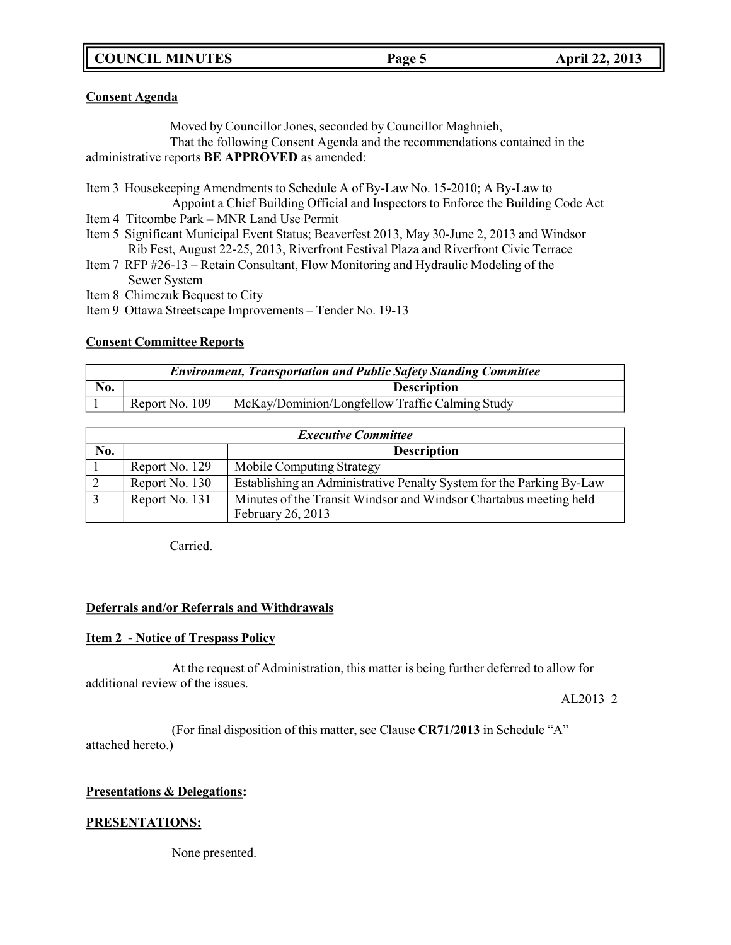# **COUNCIL MINUTES Page 5 April 22, 2013**

# **Consent Agenda**

Moved by Councillor Jones, seconded by Councillor Maghnieh,

That the following Consent Agenda and the recommendations contained in the administrative reports **BE APPROVED** as amended:

Item 3 Housekeeping Amendments to Schedule A of By-Law No. 15-2010; A By-Law to Appoint a Chief Building Official and Inspectors to Enforce the Building Code Act

- Item 4 Titcombe Park MNR Land Use Permit
- Item 5 Significant Municipal Event Status; Beaverfest 2013, May 30-June 2, 2013 and Windsor Rib Fest, August 22-25, 2013, Riverfront Festival Plaza and Riverfront Civic Terrace
- Item 7 RFP #26-13 Retain Consultant, Flow Monitoring and Hydraulic Modeling of the Sewer System
- Item 8 Chimczuk Bequest to City
- Item 9 Ottawa Streetscape Improvements Tender No. 19-13

# **Consent Committee Reports**

| <b>Environment, Transportation and Public Safety Standing Committee</b> |                |                                                 |
|-------------------------------------------------------------------------|----------------|-------------------------------------------------|
| No.                                                                     |                | <b>Description</b>                              |
|                                                                         | Report No. 109 | McKay/Dominion/Longfellow Traffic Calming Study |

| <b>Executive Committee</b> |                |                                                                      |
|----------------------------|----------------|----------------------------------------------------------------------|
| No.                        |                | <b>Description</b>                                                   |
|                            | Report No. 129 | Mobile Computing Strategy                                            |
|                            | Report No. 130 | Establishing an Administrative Penalty System for the Parking By-Law |
|                            | Report No. 131 | Minutes of the Transit Windsor and Windsor Chartabus meeting held    |
|                            |                | February 26, 2013                                                    |

Carried.

# **Deferrals and/or Referrals and Withdrawals**

# **Item 2 - Notice of Trespass Policy**

At the request of Administration, this matter is being further deferred to allow for additional review of the issues.

AL2013 2

(For final disposition of this matter, see Clause **CR71/2013** in Schedule "A" attached hereto.)

# **Presentations & Delegations:**

# **PRESENTATIONS:**

None presented.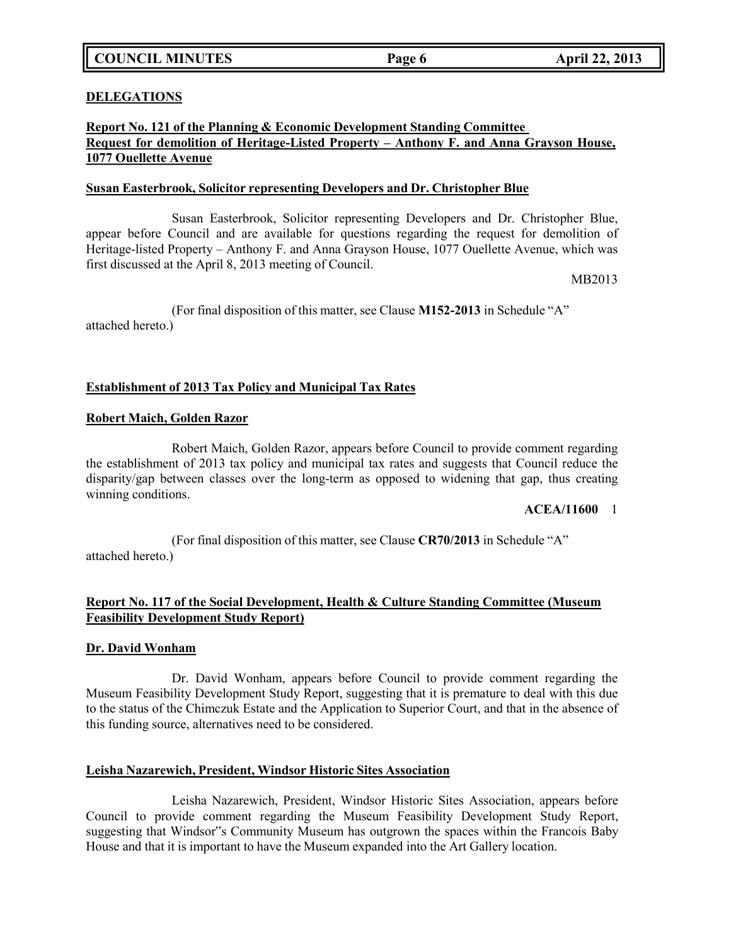### **DELEGATIONS**

# **Report No. 121 of the Planning & Economic Development Standing Committee Request for demolition of Heritage-Listed Property – Anthony F. and Anna Grayson House, 1077 Ouellette Avenue**

### **Susan Easterbrook, Solicitor representing Developers and Dr. Christopher Blue**

Susan Easterbrook, Solicitor representing Developers and Dr. Christopher Blue, appear before Council and are available for questions regarding the request for demolition of Heritage-listed Property – Anthony F. and Anna Grayson House, 1077 Ouellette Avenue, which was first discussed at the April 8, 2013 meeting of Council.

MB2013

(For final disposition of this matter, see Clause **M152-2013** in Schedule "A" attached hereto.)

# **Establishment of 2013 Tax Policy and Municipal Tax Rates**

### **Robert Maich, Golden Razor**

Robert Maich, Golden Razor, appears before Council to provide comment regarding the establishment of 2013 tax policy and municipal tax rates and suggests that Council reduce the disparity/gap between classes over the long-term as opposed to widening that gap, thus creating winning conditions.

### **ACEA/11600** 1

(For final disposition of this matter, see Clause **CR70/2013** in Schedule "A" attached hereto.)

### **Report No. 117 of the Social Development, Health & Culture Standing Committee (Museum Feasibility Development Study Report)**

### **Dr. David Wonham**

Dr. David Wonham, appears before Council to provide comment regarding the Museum Feasibility Development Study Report, suggesting that it is premature to deal with this due to the status of the Chimczuk Estate and the Application to Superior Court, and that in the absence of this funding source, alternatives need to be considered.

# **Leisha Nazarewich, President, Windsor Historic Sites Association**

Leisha Nazarewich, President, Windsor Historic Sites Association, appears before Council to provide comment regarding the Museum Feasibility Development Study Report, suggesting that Windsor"s Community Museum has outgrown the spaces within the Francois Baby House and that it is important to have the Museum expanded into the Art Gallery location.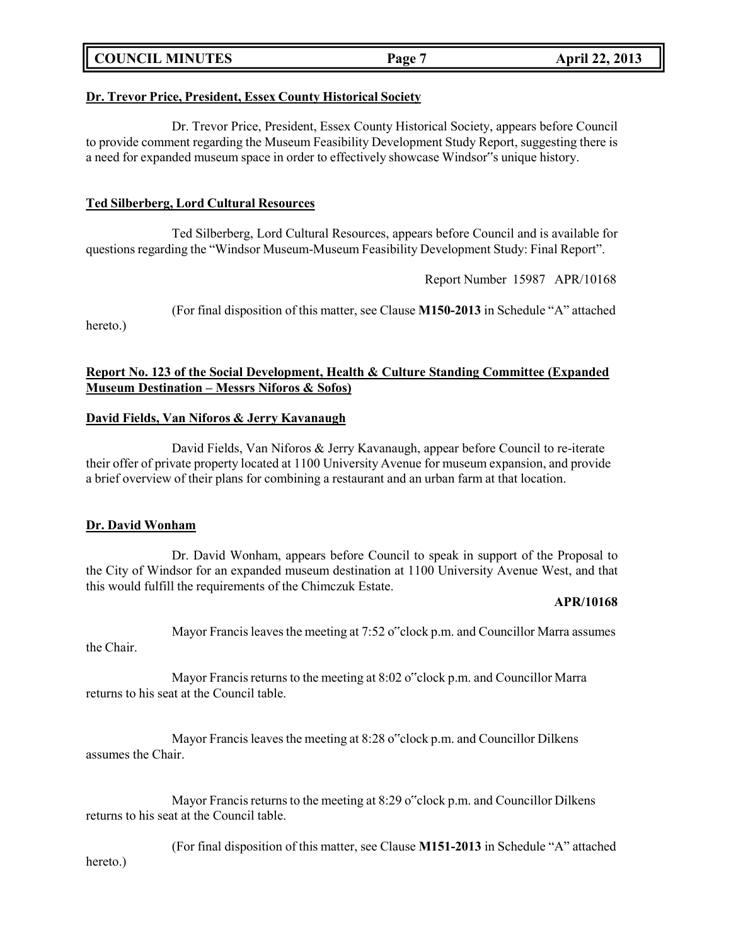| <b>COUNCIL MINUTES</b> | Page | <b>April 22, 2013</b> |
|------------------------|------|-----------------------|
|                        |      |                       |

## **Dr. Trevor Price, President, Essex County Historical Society**

Dr. Trevor Price, President, Essex County Historical Society, appears before Council to provide comment regarding the Museum Feasibility Development Study Report, suggesting there is a need for expanded museum space in order to effectively showcase Windsor"s unique history.

## **Ted Silberberg, Lord Cultural Resources**

Ted Silberberg, Lord Cultural Resources, appears before Council and is available for questions regarding the "Windsor Museum-Museum Feasibility Development Study: Final Report".

Report Number 15987 APR/10168

(For final disposition of this matter, see Clause **M150-2013** in Schedule "A" attached

hereto.)

# **Report No. 123 of the Social Development, Health & Culture Standing Committee (Expanded Museum Destination – Messrs Niforos & Sofos)**

### **David Fields, Van Niforos & Jerry Kavanaugh**

David Fields, Van Niforos & Jerry Kavanaugh, appear before Council to re-iterate their offer of private property located at 1100 University Avenue for museum expansion, and provide a brief overview of their plans for combining a restaurant and an urban farm at that location.

### **Dr. David Wonham**

Dr. David Wonham, appears before Council to speak in support of the Proposal to the City of Windsor for an expanded museum destination at 1100 University Avenue West, and that this would fulfill the requirements of the Chimczuk Estate.

#### **APR/10168**

Mayor Francis leaves the meeting at 7:52 o<sup>o</sup>clock p.m. and Councillor Marra assumes the Chair.

Mayor Francis returns to the meeting at  $8:02$  o<sup>rc</sup>lock p.m. and Councillor Marra returns to his seat at the Council table.

Mayor Francis leaves the meeting at 8:28 o"clock p.m. and Councillor Dilkens assumes the Chair.

Mayor Francis returns to the meeting at 8:29 o"clock p.m. and Councillor Dilkens returns to his seat at the Council table.

(For final disposition of this matter, see Clause **M151-2013** in Schedule "A" attached

hereto.)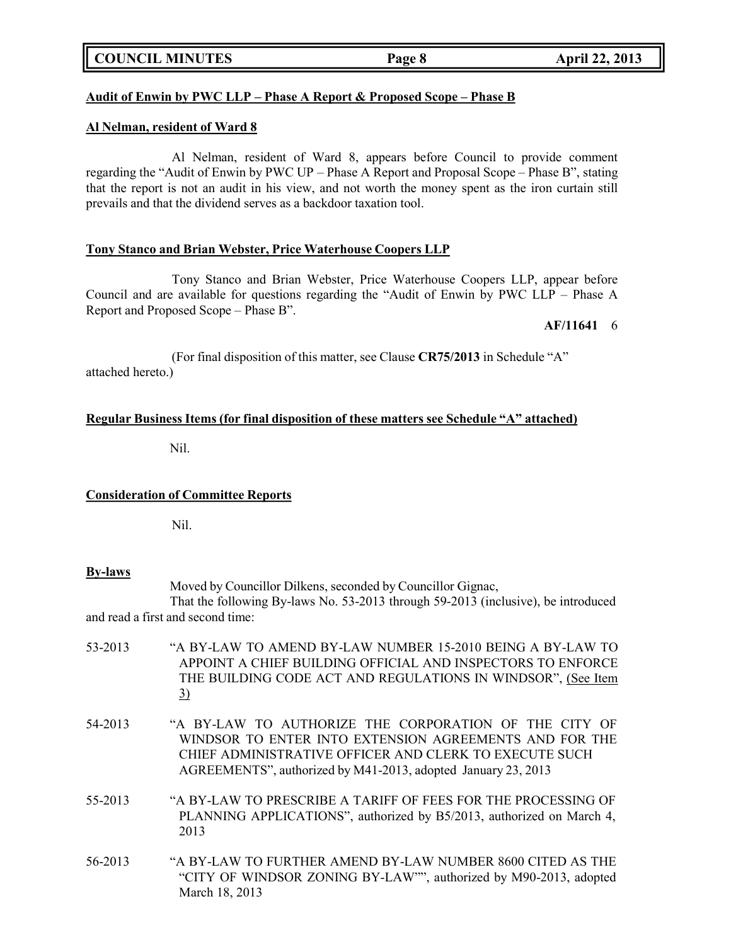# **COUNCIL MINUTES Page 8 April 22, 2013**

# **Audit of Enwin by PWC LLP – Phase A Report & Proposed Scope – Phase B**

#### **Al Nelman, resident of Ward 8**

Al Nelman, resident of Ward 8, appears before Council to provide comment regarding the "Audit of Enwin by PWC UP – Phase A Report and Proposal Scope – Phase B", stating that the report is not an audit in his view, and not worth the money spent as the iron curtain still prevails and that the dividend serves as a backdoor taxation tool.

## **Tony Stanco and Brian Webster, Price Waterhouse Coopers LLP**

Tony Stanco and Brian Webster, Price Waterhouse Coopers LLP, appear before Council and are available for questions regarding the "Audit of Enwin by PWC LLP – Phase A Report and Proposed Scope – Phase B".

#### **AF/11641** 6

(For final disposition of this matter, see Clause **CR75/2013** in Schedule "A" attached hereto.)

#### **Regular Business Items (for final disposition of these matters see Schedule "A" attached)**

Nil.

#### **Consideration of Committee Reports**

Nil.

#### **By-laws**

Moved by Councillor Dilkens, seconded by Councillor Gignac,

That the following By-laws No. 53-2013 through 59-2013 (inclusive), be introduced and read a first and second time:

- 53-2013 "A BY-LAW TO AMEND BY-LAW NUMBER 15-2010 BEING A BY-LAW TO APPOINT A CHIEF BUILDING OFFICIAL AND INSPECTORS TO ENFORCE THE BUILDING CODE ACT AND REGULATIONS IN WINDSOR", (See Item 3) 54-2013 "A BY-LAW TO AUTHORIZE THE CORPORATION OF THE CITY OF WINDSOR TO ENTER INTO EXTENSION AGREEMENTS AND FOR THE CHIEF ADMINISTRATIVE OFFICER AND CLERK TO EXECUTE SUCH AGREEMENTS", authorized by M41-2013, adopted January 23, 2013
- 55-2013 "A BY-LAW TO PRESCRIBE A TARIFF OF FEES FOR THE PROCESSING OF PLANNING APPLICATIONS", authorized by B5/2013, authorized on March 4, 2013
- 56-2013 "A BY-LAW TO FURTHER AMEND BY-LAW NUMBER 8600 CITED AS THE "CITY OF WINDSOR ZONING BY-LAW"", authorized by M90-2013, adopted March 18, 2013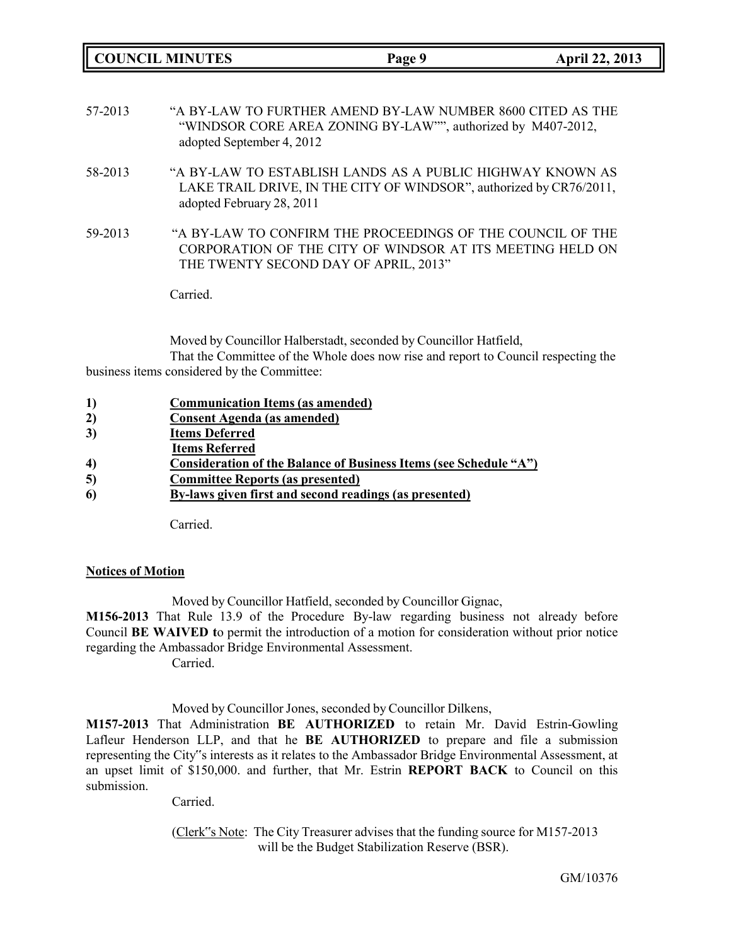**COUNCIL MINUTES Page 9 April 22, 2013** 57-2013 "A BY-LAW TO FURTHER AMEND BY-LAW NUMBER 8600 CITED AS THE "WINDSOR CORE AREA ZONING BY-LAW"", authorized by M407-2012, adopted September 4, 2012 58-2013 "A BY-LAW TO ESTABLISH LANDS AS A PUBLIC HIGHWAY KNOWN AS LAKE TRAIL DRIVE, IN THE CITY OF WINDSOR", authorized by CR76/2011, adopted February 28, 2011 59-2013 "A BY-LAW TO CONFIRM THE PROCEEDINGS OF THE COUNCIL OF THE CORPORATION OF THE CITY OF WINDSOR AT ITS MEETING HELD ON THE TWENTY SECOND DAY OF APRIL, 2013" Carried.

Moved by Councillor Halberstadt, seconded by Councillor Hatfield, That the Committee of the Whole does now rise and report to Council respecting the business items considered by the Committee:

| $\bf{1}$ | <b>Communication Items (as amended)</b>                           |
|----------|-------------------------------------------------------------------|
| 2)       | <b>Consent Agenda</b> (as amended)                                |
| 3)       | <b>Items Deferred</b>                                             |
|          | <b>Items Referred</b>                                             |
| 4)       | Consideration of the Balance of Business Items (see Schedule "A") |
| 5)       | <b>Committee Reports (as presented)</b>                           |
| 6)       | By-laws given first and second readings (as presented)            |
|          |                                                                   |
|          | Carried.                                                          |

# **Notices of Motion**

Moved by Councillor Hatfield, seconded by Councillor Gignac,

**M156-2013** That Rule 13.9 of the Procedure By-law regarding business not already before Council **BE WAIVED t**o permit the introduction of a motion for consideration without prior notice regarding the Ambassador Bridge Environmental Assessment.

Carried.

Moved by Councillor Jones, seconded by Councillor Dilkens,

**M157-2013** That Administration **BE AUTHORIZED** to retain Mr. David Estrin-Gowling Lafleur Henderson LLP, and that he **BE AUTHORIZED** to prepare and file a submission representing the City"s interests as it relates to the Ambassador Bridge Environmental Assessment, at an upset limit of \$150,000. and further, that Mr. Estrin **REPORT BACK** to Council on this submission.

Carried.

(Clerk"s Note: The City Treasurer advises that the funding source for M157-2013 will be the Budget Stabilization Reserve (BSR).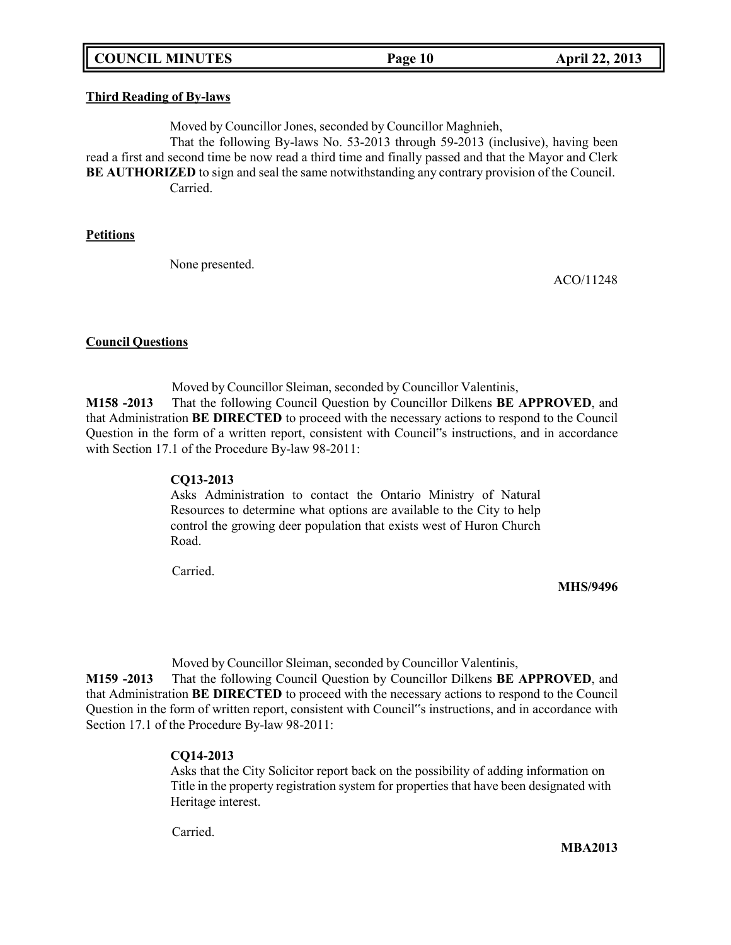# **COUNCIL MINUTES Page 10 April 22, 2013**

### **Third Reading of By-laws**

Moved by Councillor Jones, seconded by Councillor Maghnieh,

That the following By-laws No. 53-2013 through 59-2013 (inclusive), having been read a first and second time be now read a third time and finally passed and that the Mayor and Clerk **BE AUTHORIZED** to sign and seal the same notwithstanding any contrary provision of the Council. Carried.

### **Petitions**

None presented.

ACO/11248

### **Council Questions**

Moved by Councillor Sleiman, seconded by Councillor Valentinis, **M158 -2013** That the following Council Question by Councillor Dilkens **BE APPROVED**, and that Administration **BE DIRECTED** to proceed with the necessary actions to respond to the Council Question in the form of a written report, consistent with Council"s instructions, and in accordance with Section 17.1 of the Procedure By-law 98-2011:

# **CQ13-2013**

Asks Administration to contact the Ontario Ministry of Natural Resources to determine what options are available to the City to help control the growing deer population that exists west of Huron Church Road.

Carried.

### **MHS/9496**

Moved by Councillor Sleiman, seconded by Councillor Valentinis,

**M159 -2013** That the following Council Question by Councillor Dilkens **BE APPROVED**, and that Administration **BE DIRECTED** to proceed with the necessary actions to respond to the Council Question in the form of written report, consistent with Council"s instructions, and in accordance with Section 17.1 of the Procedure By-law 98-2011:

### **CQ14-2013**

Asks that the City Solicitor report back on the possibility of adding information on Title in the property registration system for properties that have been designated with Heritage interest.

Carried.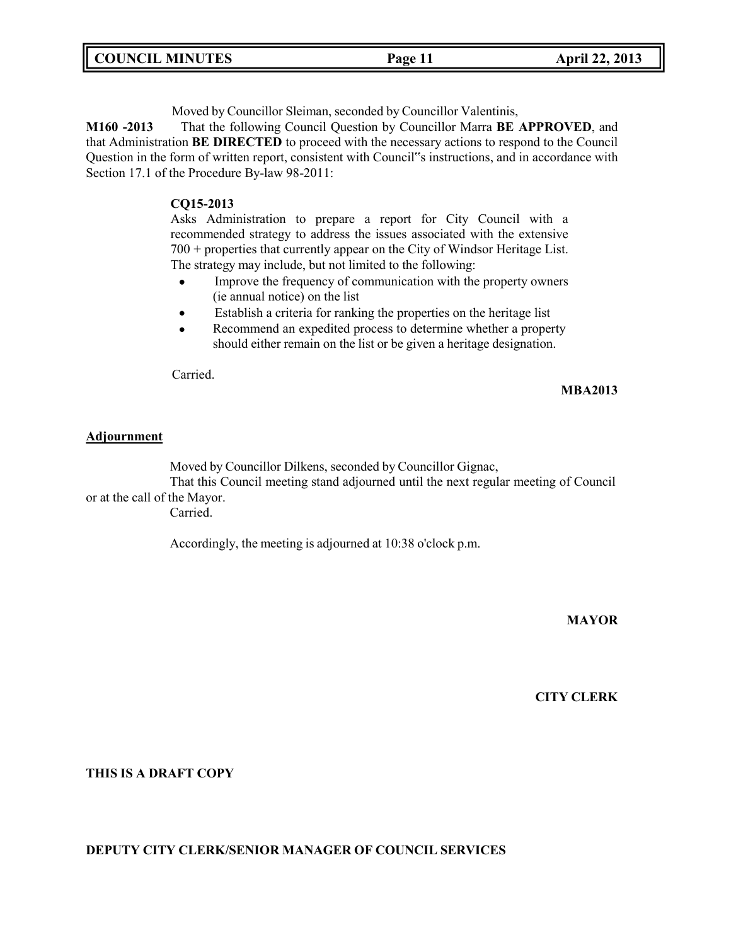| <b>COUNCIL MINUTES</b><br><b>April 22, 2013</b><br>Page 11 |  |
|------------------------------------------------------------|--|
|------------------------------------------------------------|--|

Moved by Councillor Sleiman, seconded by Councillor Valentinis,

**M160 -2013** That the following Council Question by Councillor Marra **BE APPROVED**, and that Administration **BE DIRECTED** to proceed with the necessary actions to respond to the Council Question in the form of written report, consistent with Council"s instructions, and in accordance with Section 17.1 of the Procedure By-law 98-2011:

## **CQ15-2013**

Asks Administration to prepare a report for City Council with a recommended strategy to address the issues associated with the extensive 700 + properties that currently appear on the City of Windsor Heritage List. The strategy may include, but not limited to the following:

- Improve the frequency of communication with the property owners  $\bullet$ (ie annual notice) on the list
- Establish a criteria for ranking the properties on the heritage list  $\bullet$
- Recommend an expedited process to determine whether a property  $\bullet$ should either remain on the list or be given a heritage designation.

Carried.

#### **MBA2013**

#### **Adjournment**

Moved by Councillor Dilkens, seconded by Councillor Gignac,

That this Council meeting stand adjourned until the next regular meeting of Council or at the call of the Mayor.

Carried.

Accordingly, the meeting is adjourned at 10:38 o'clock p.m.

### **MAYOR**

# **CITY CLERK**

**THIS IS A DRAFT COPY**

### **DEPUTY CITY CLERK/SENIOR MANAGER OF COUNCIL SERVICES**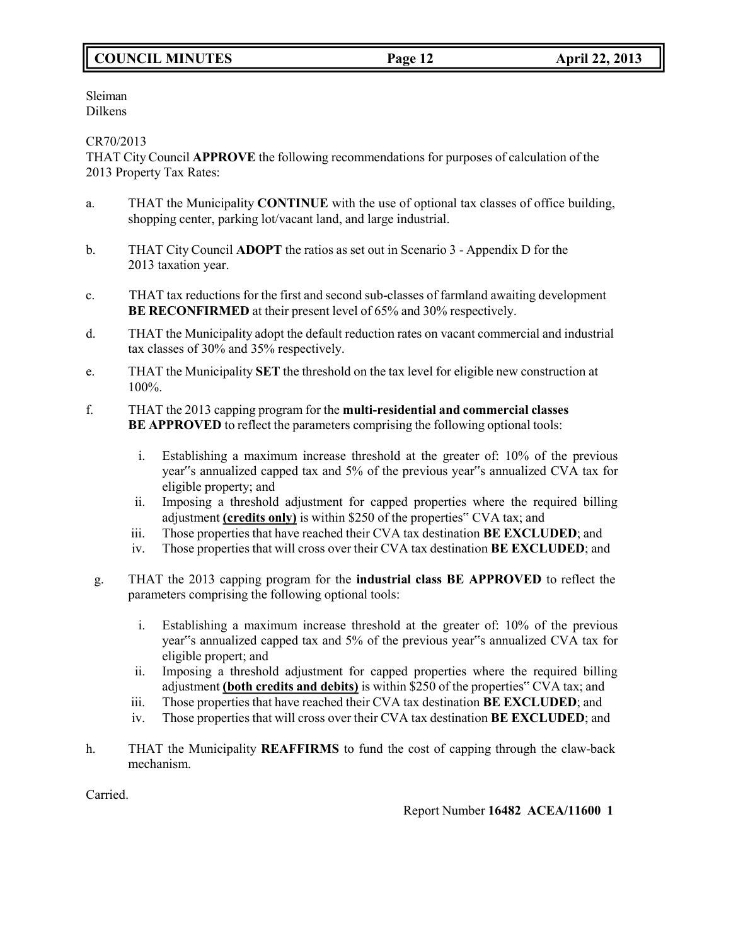# **COUNCIL MINUTES Page 12 April 22, 2013**

Sleiman Dilkens

CR70/2013

THAT City Council **APPROVE** the following recommendations for purposes of calculation of the 2013 Property Tax Rates:

- a. THAT the Municipality **CONTINUE** with the use of optional tax classes of office building, shopping center, parking lot/vacant land, and large industrial.
- b. THAT City Council **ADOPT** the ratios as set out in Scenario 3 Appendix D for the 2013 taxation year.
- c. THAT tax reductions for the first and second sub-classes of farmland awaiting development **BE RECONFIRMED** at their present level of 65% and 30% respectively.
- d. THAT the Municipality adopt the default reduction rates on vacant commercial and industrial tax classes of 30% and 35% respectively.
- e. THAT the Municipality **SET** the threshold on the tax level for eligible new construction at 100%.
- f. THAT the 2013 capping program for the **multi-residential and commercial classes BE APPROVED** to reflect the parameters comprising the following optional tools:
	- i. Establishing a maximum increase threshold at the greater of: 10% of the previous year"s annualized capped tax and 5% of the previous year"s annualized CVA tax for eligible property; and
	- ii. Imposing a threshold adjustment for capped properties where the required billing adjustment **(credits only)** is within \$250 of the properties" CVA tax; and
	- iii. Those properties that have reached their CVA tax destination **BE EXCLUDED**; and
	- iv. Those properties that will cross over their CVA tax destination **BE EXCLUDED**; and
	- g. THAT the 2013 capping program for the **industrial class BE APPROVED** to reflect the parameters comprising the following optional tools:
		- i. Establishing a maximum increase threshold at the greater of: 10% of the previous year"s annualized capped tax and 5% of the previous year"s annualized CVA tax for eligible propert; and
		- ii. Imposing a threshold adjustment for capped properties where the required billing adjustment **(both credits and debits)** is within \$250 of the properties" CVA tax; and
		- iii. Those properties that have reached their CVA tax destination **BE EXCLUDED**; and
		- iv. Those properties that will cross over their CVA tax destination **BE EXCLUDED**; and
- h. THAT the Municipality **REAFFIRMS** to fund the cost of capping through the claw-back mechanism.

Carried.

Report Number **16482 ACEA/11600 1**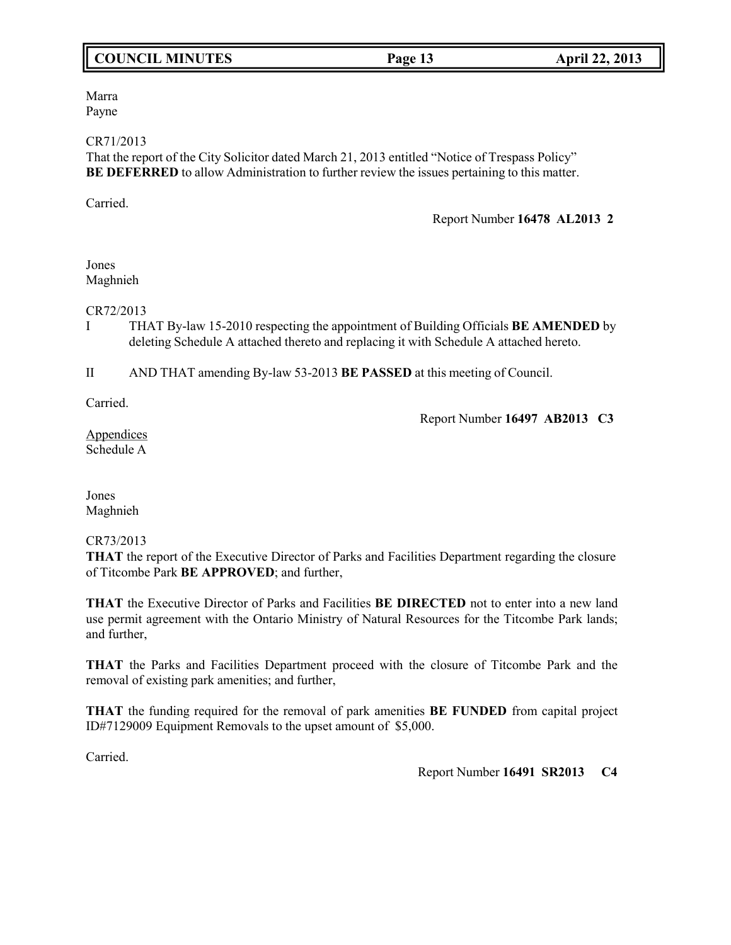# **COUNCIL MINUTES Page 13 April 22, 2013**

Marra Payne

### CR71/2013

That the report of the City Solicitor dated March 21, 2013 entitled "Notice of Trespass Policy" **BE DEFERRED** to allow Administration to further review the issues pertaining to this matter.

Carried.

Report Number **16478 AL2013 2**

# Jones Maghnieh

CR72/2013

I THAT By-law 15-2010 respecting the appointment of Building Officials **BE AMENDED** by deleting Schedule A attached thereto and replacing it with Schedule A attached hereto.

II AND THAT amending By-law 53-2013 **BE PASSED** at this meeting of Council.

Carried.

Report Number **16497 AB2013 C3**

**Appendices** Schedule A

Jones Maghnieh

# CR73/2013

**THAT** the report of the Executive Director of Parks and Facilities Department regarding the closure of Titcombe Park **BE APPROVED**; and further,

**THAT** the Executive Director of Parks and Facilities **BE DIRECTED** not to enter into a new land use permit agreement with the Ontario Ministry of Natural Resources for the Titcombe Park lands; and further,

**THAT** the Parks and Facilities Department proceed with the closure of Titcombe Park and the removal of existing park amenities; and further,

**THAT** the funding required for the removal of park amenities **BE FUNDED** from capital project ID#7129009 Equipment Removals to the upset amount of \$5,000.

Carried.

Report Number **16491 SR2013 C4**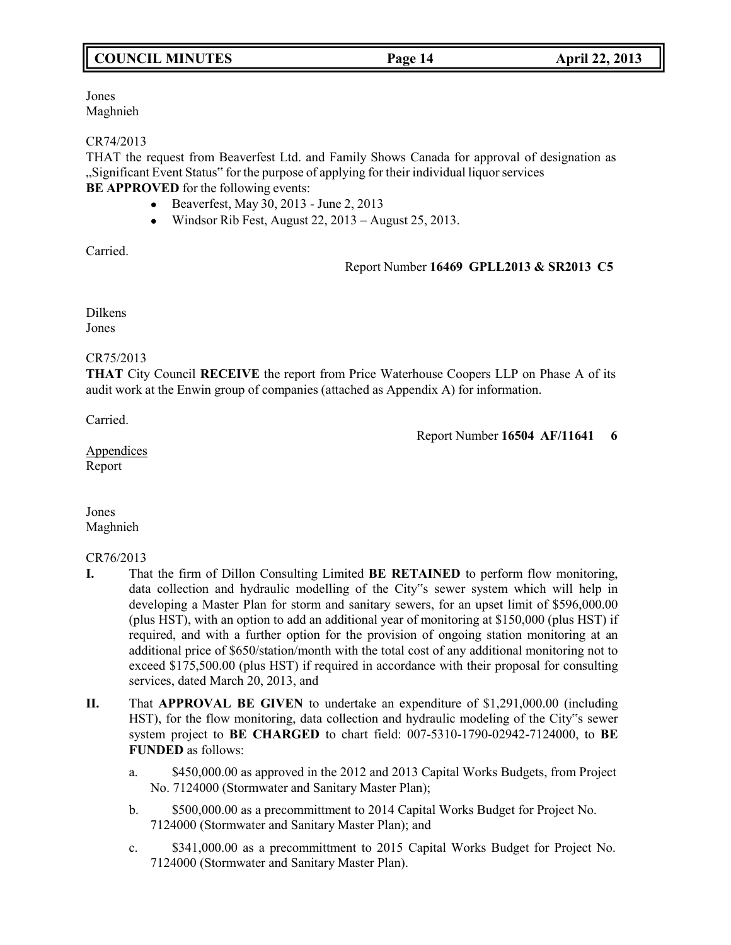# **COUNCIL MINUTES Page 14 April 22, 2013**

Jones Maghnieh

## CR74/2013

THAT the request from Beaverfest Ltd. and Family Shows Canada for approval of designation as "Significant Event Status" for the purpose of applying for their individual liquorservices **BE APPROVED** for the following events:

- Beaverfest, May 30, 2013 June 2, 2013
- $\bullet$  Windsor Rib Fest, August 22, 2013 August 25, 2013.

Carried.

# Report Number **16469 GPLL2013 & SR2013 C5**

Dilkens Jones

# CR75/2013

**THAT** City Council **RECEIVE** the report from Price Waterhouse Coopers LLP on Phase A of its audit work at the Enwin group of companies (attached as Appendix A) for information.

Carried.

Report Number **16504 AF/11641 6**

**Appendices** Report

Jones Maghnieh

# CR76/2013

- **I.** That the firm of Dillon Consulting Limited **BE RETAINED** to perform flow monitoring, data collection and hydraulic modelling of the City"s sewer system which will help in developing a Master Plan for storm and sanitary sewers, for an upset limit of \$596,000.00 (plus HST), with an option to add an additional year of monitoring at \$150,000 (plus HST) if required, and with a further option for the provision of ongoing station monitoring at an additional price of \$650/station/month with the total cost of any additional monitoring not to exceed \$175,500.00 (plus HST) if required in accordance with their proposal for consulting services, dated March 20, 2013, and
- **II.** That **APPROVAL BE GIVEN** to undertake an expenditure of \$1,291,000.00 (including HST), for the flow monitoring, data collection and hydraulic modeling of the City"s sewer system project to **BE CHARGED** to chart field: 007-5310-1790-02942-7124000, to **BE FUNDED** as follows:
	- a. \$450,000.00 as approved in the 2012 and 2013 Capital Works Budgets, from Project No. 7124000 (Stormwater and Sanitary Master Plan);
	- b. \$500,000.00 as a precommittment to 2014 Capital Works Budget for Project No. 7124000 (Stormwater and Sanitary Master Plan); and
	- c. \$341,000.00 as a precommittment to 2015 Capital Works Budget for Project No. 7124000 (Stormwater and Sanitary Master Plan).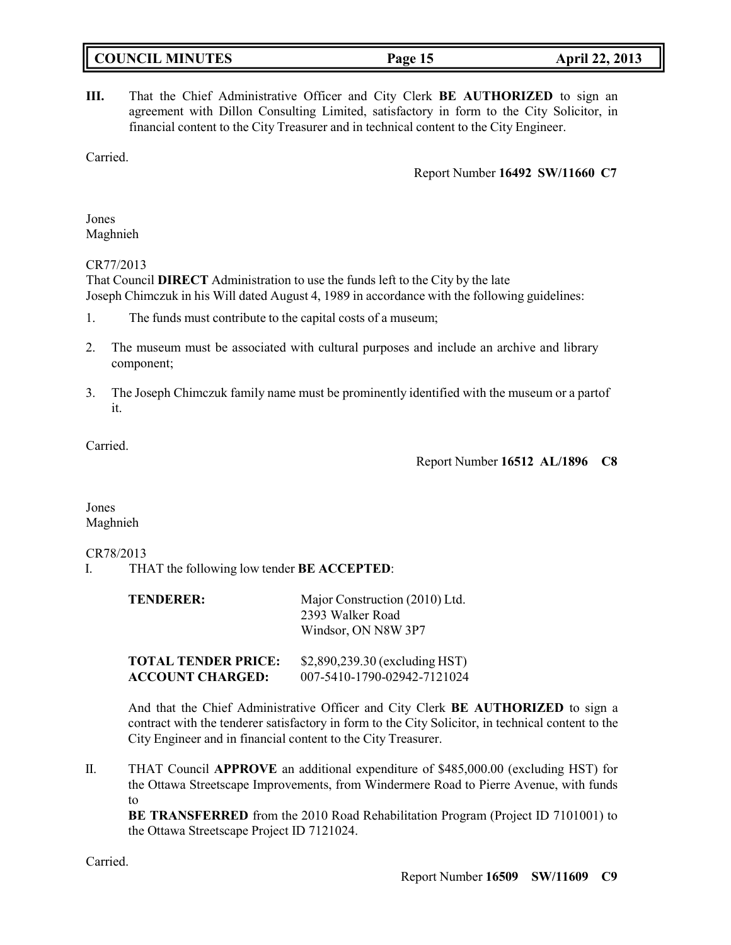| <b>COUNCIL MINUTES</b> | Page 15 | <b>April 22, 2013</b> |
|------------------------|---------|-----------------------|
|                        |         |                       |

**III.** That the Chief Administrative Officer and City Clerk **BE AUTHORIZED** to sign an agreement with Dillon Consulting Limited, satisfactory in form to the City Solicitor, in financial content to the City Treasurer and in technical content to the City Engineer.

Carried.

Report Number **16492 SW/11660 C7**

Jones Maghnieh

# CR77/2013

That Council **DIRECT** Administration to use the funds left to the City by the late Joseph Chimczuk in his Will dated August 4, 1989 in accordance with the following guidelines:

- 1. The funds must contribute to the capital costs of a museum;
- 2. The museum must be associated with cultural purposes and include an archive and library component;
- 3. The Joseph Chimczuk family name must be prominently identified with the museum or a partof it.

Carried.

Report Number **16512 AL/1896 C8**

Jones Maghnieh

# CR78/2013

I. THAT the following low tender **BE ACCEPTED**:

| TENDERER:                  | Major Construction (2010) Ltd.<br>2393 Walker Road<br>Windsor, ON N8W 3P7 |
|----------------------------|---------------------------------------------------------------------------|
| <b>TOTAL TENDER PRICE:</b> | \$2,890,239.30 (excluding HST)                                            |

**ACCOUNT CHARGED:** 007-5410-1790-02942-7121024

And that the Chief Administrative Officer and City Clerk **BE AUTHORIZED** to sign a contract with the tenderer satisfactory in form to the City Solicitor, in technical content to the City Engineer and in financial content to the City Treasurer.

II. THAT Council **APPROVE** an additional expenditure of \$485,000.00 (excluding HST) for the Ottawa Streetscape Improvements, from Windermere Road to Pierre Avenue, with funds to

**BE TRANSFERRED** from the 2010 Road Rehabilitation Program (Project ID 7101001) to the Ottawa Streetscape Project ID 7121024.

Carried.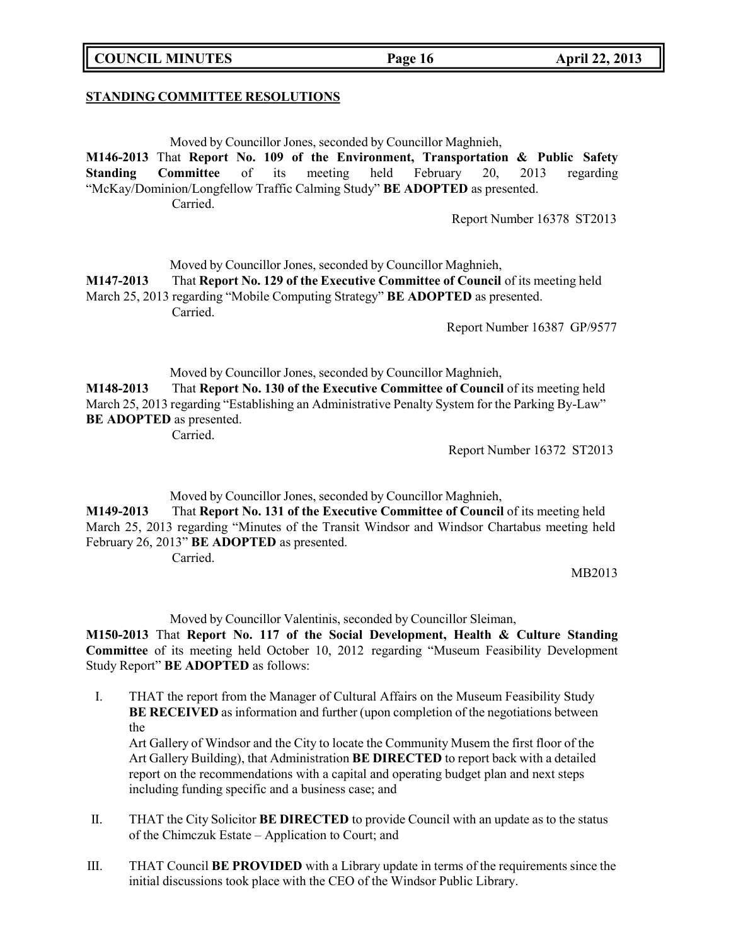# **COUNCIL MINUTES Page 16 April 22, 2013**

#### **STANDING COMMITTEE RESOLUTIONS**

Moved by Councillor Jones, seconded by Councillor Maghnieh,

**M146-2013** That **Report No. 109 of the Environment, Transportation & Public Safety Standing Committee** of its meeting held February 20, 2013 regarding "McKay/Dominion/Longfellow Traffic Calming Study" **BE ADOPTED** as presented. Carried.

Report Number 16378 ST2013

Moved by Councillor Jones, seconded by Councillor Maghnieh,

**M147-2013** That **Report No. 129 of the Executive Committee of Council** of its meeting held March 25, 2013 regarding "Mobile Computing Strategy" **BE ADOPTED** as presented. Carried.

Report Number 16387 GP/9577

Moved by Councillor Jones, seconded by Councillor Maghnieh, **M148-2013** That **Report No. 130 of the Executive Committee of Council** of its meeting held March 25, 2013 regarding "Establishing an Administrative Penalty System for the Parking By-Law" **BE ADOPTED** as presented.

Carried.

Report Number 16372 ST2013

Moved by Councillor Jones, seconded by Councillor Maghnieh,

**M149-2013** That **Report No. 131 of the Executive Committee of Council** of its meeting held March 25, 2013 regarding "Minutes of the Transit Windsor and Windsor Chartabus meeting held February 26, 2013" **BE ADOPTED** as presented.

Carried.

MB2013

Moved by Councillor Valentinis, seconded by Councillor Sleiman,

**M150-2013** That **Report No. 117 of the Social Development, Health & Culture Standing Committee** of its meeting held October 10, 2012 regarding "Museum Feasibility Development Study Report" **BE ADOPTED** as follows:

I. THAT the report from the Manager of Cultural Affairs on the Museum Feasibility Study **BE RECEIVED** as information and further (upon completion of the negotiations between the

Art Gallery of Windsor and the City to locate the Community Musem the first floor of the Art Gallery Building), that Administration **BE DIRECTED** to report back with a detailed report on the recommendations with a capital and operating budget plan and next steps including funding specific and a business case; and

- II. THAT the City Solicitor **BE DIRECTED** to provide Council with an update as to the status of the Chimczuk Estate – Application to Court; and
- III. THAT Council **BE PROVIDED** with a Library update in terms of the requirements since the initial discussions took place with the CEO of the Windsor Public Library.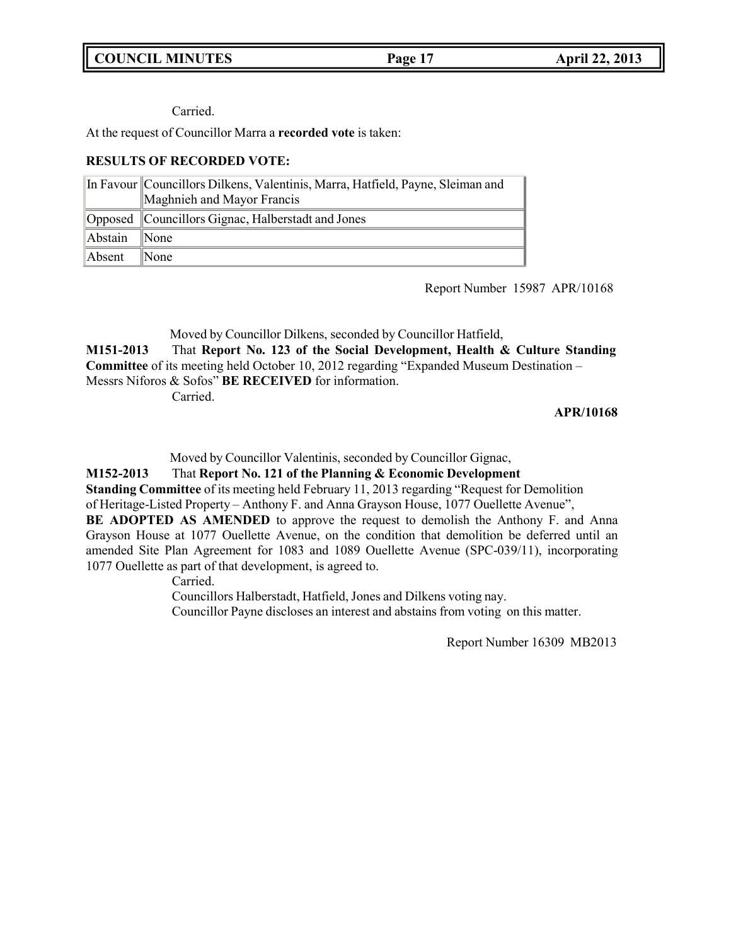# **COUNCIL MINUTES Page 17 April 22, 2013**

# Carried.

At the request of Councillor Marra a **recorded vote** is taken:

# **RESULTS OF RECORDED VOTE:**

|              | In Favour Councillors Dilkens, Valentinis, Marra, Hatfield, Payne, Sleiman and |
|--------------|--------------------------------------------------------------------------------|
|              | Maghnieh and Mayor Francis                                                     |
|              | Opposed Councillors Gignac, Halberstadt and Jones                              |
| Abstain None |                                                                                |
| Absent None  |                                                                                |

Report Number 15987 APR/10168

Moved by Councillor Dilkens, seconded by Councillor Hatfield,

**M151-2013** That **Report No. 123 of the Social Development, Health & Culture Standing Committee** of its meeting held October 10, 2012 regarding "Expanded Museum Destination – Messrs Niforos & Sofos" **BE RECEIVED** for information.

Carried.

# **APR/10168**

Moved by Councillor Valentinis, seconded by Councillor Gignac,

**M152-2013** That **Report No. 121 of the Planning & Economic Development Standing Committee** of its meeting held February 11, 2013 regarding "Request for Demolition of Heritage-Listed Property – Anthony F. and Anna Grayson House, 1077 Ouellette Avenue", **BE ADOPTED AS AMENDED** to approve the request to demolish the Anthony F. and Anna Grayson House at 1077 Ouellette Avenue, on the condition that demolition be deferred until an amended Site Plan Agreement for 1083 and 1089 Ouellette Avenue (SPC-039/11), incorporating 1077 Ouellette as part of that development, is agreed to.

Carried.

Councillors Halberstadt, Hatfield, Jones and Dilkens voting nay.

Councillor Payne discloses an interest and abstains from voting on this matter.

Report Number 16309 MB2013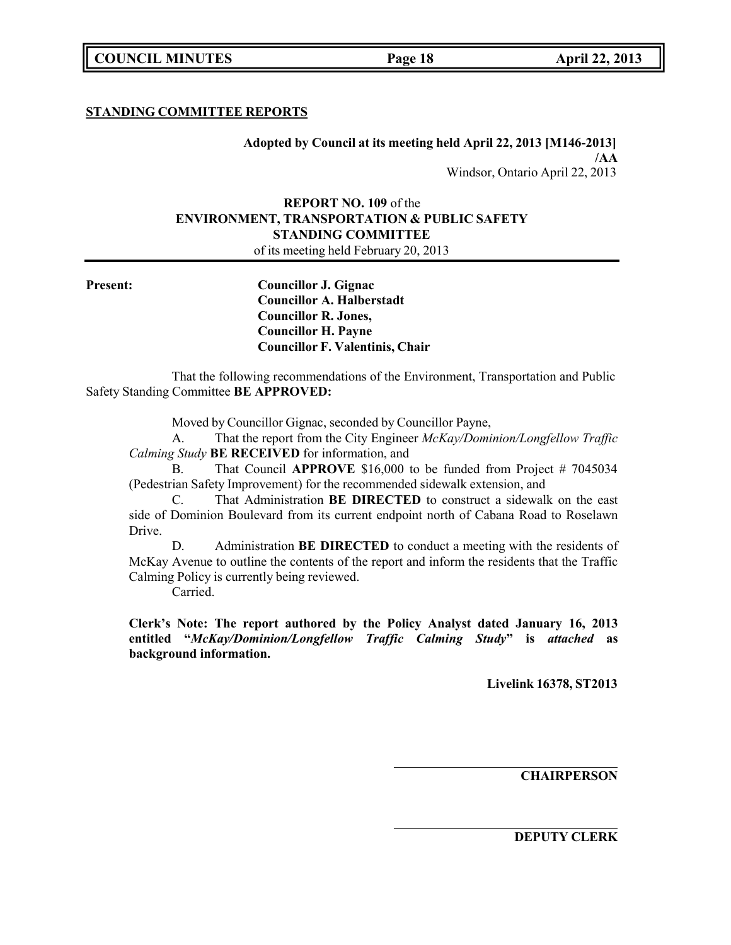# **STANDING COMMITTEE REPORTS**

**Adopted by Council at its meeting held April 22, 2013 [M146-2013] /AA** Windsor, Ontario April 22, 2013

# **REPORT NO. 109** of the **ENVIRONMENT, TRANSPORTATION & PUBLIC SAFETY STANDING COMMITTEE**

of its meeting held February 20, 2013

**Present: Councillor J. Gignac Councillor A. Halberstadt Councillor R. Jones, Councillor H. Payne Councillor F. Valentinis, Chair**

That the following recommendations of the Environment, Transportation and Public Safety Standing Committee **BE APPROVED:**

Moved by Councillor Gignac, seconded by Councillor Payne,

A. That the report from the City Engineer *McKay/Dominion/Longfellow Traffic Calming Study* **BE RECEIVED** for information, and

B. That Council **APPROVE** \$16,000 to be funded from Project # 7045034 (Pedestrian Safety Improvement) for the recommended sidewalk extension, and

C. That Administration **BE DIRECTED** to construct a sidewalk on the east side of Dominion Boulevard from its current endpoint north of Cabana Road to Roselawn Drive.

D. Administration **BE DIRECTED** to conduct a meeting with the residents of McKay Avenue to outline the contents of the report and inform the residents that the Traffic Calming Policy is currently being reviewed.

Carried.

**Clerk's Note: The report authored by the Policy Analyst dated January 16, 2013 entitled "***McKay/Dominion/Longfellow Traffic Calming Study***" is** *attached* **as background information.**

**Livelink 16378, ST2013**

**CHAIRPERSON**

**DEPUTY CLERK**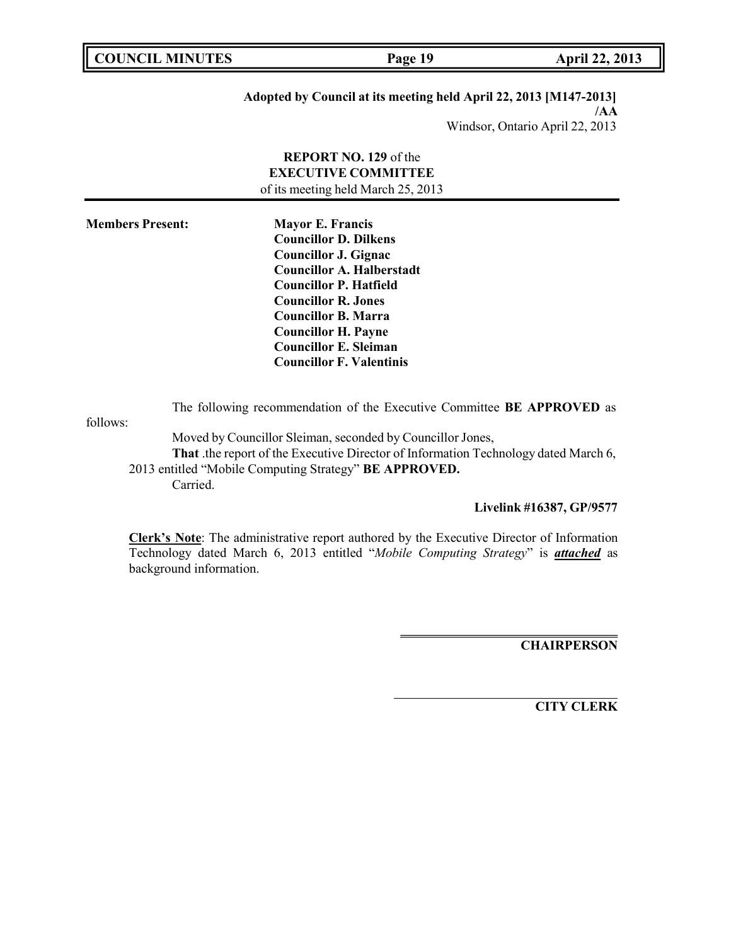**COUNCIL MINUTES Page 19 April 22, 2013**

# **Adopted by Council at its meeting held April 22, 2013 [M147-2013] /AA**

Windsor, Ontario April 22, 2013

# **REPORT NO. 129** of the **EXECUTIVE COMMITTEE** of its meeting held March 25, 2013

**Members Present: Mayor E. Francis**

**Councillor D. Dilkens Councillor J. Gignac Councillor A. Halberstadt Councillor P. Hatfield Councillor R. Jones Councillor B. Marra Councillor H. Payne Councillor E. Sleiman Councillor F. Valentinis**

follows:

The following recommendation of the Executive Committee **BE APPROVED** as

Moved by Councillor Sleiman, seconded by Councillor Jones, **That** .the report of the Executive Director of Information Technology dated March 6, 2013 entitled "Mobile Computing Strategy" **BE APPROVED.** Carried.

**Livelink #16387, GP/9577**

**Clerk's Note**: The administrative report authored by the Executive Director of Information Technology dated March 6, 2013 entitled "*Mobile Computing Strategy*" is *attached* as background information.

**CHAIRPERSON**

**CITY CLERK**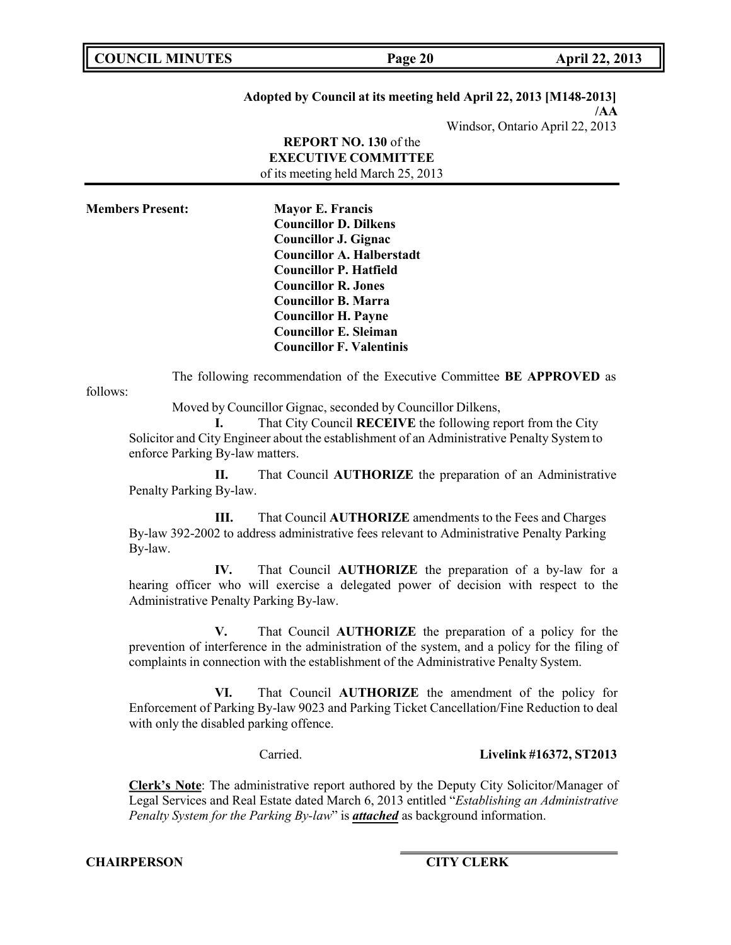**COUNCIL MINUTES Page 20 April 22, 2013**

# **Adopted by Council at its meeting held April 22, 2013 [M148-2013] /AA**

Windsor, Ontario April 22, 2013

**REPORT NO. 130** of the **EXECUTIVE COMMITTEE** of its meeting held March 25, 2013

**Members Present: Mayor E. Francis Councillor D. Dilkens Councillor J. Gignac Councillor A. Halberstadt Councillor P. Hatfield Councillor R. Jones Councillor B. Marra Councillor H. Payne Councillor E. Sleiman Councillor F. Valentinis**

The following recommendation of the Executive Committee **BE APPROVED** as

follows:

Moved by Councillor Gignac, seconded by Councillor Dilkens,

**I.** That City Council **RECEIVE** the following report from the City Solicitor and City Engineer about the establishment of an Administrative Penalty System to enforce Parking By-law matters.

**II.** That Council **AUTHORIZE** the preparation of an Administrative Penalty Parking By-law.

**III.** That Council **AUTHORIZE** amendments to the Fees and Charges By-law 392-2002 to address administrative fees relevant to Administrative Penalty Parking By-law.

**IV.** That Council **AUTHORIZE** the preparation of a by-law for a hearing officer who will exercise a delegated power of decision with respect to the Administrative Penalty Parking By-law.

**V.** That Council **AUTHORIZE** the preparation of a policy for the prevention of interference in the administration of the system, and a policy for the filing of complaints in connection with the establishment of the Administrative Penalty System.

**VI.** That Council **AUTHORIZE** the amendment of the policy for Enforcement of Parking By-law 9023 and Parking Ticket Cancellation/Fine Reduction to deal with only the disabled parking offence.

Carried. **Livelink #16372, ST2013**

**Clerk's Note**: The administrative report authored by the Deputy City Solicitor/Manager of Legal Services and Real Estate dated March 6, 2013 entitled "*Establishing an Administrative Penalty System for the Parking By-law*" is *attached* as background information.

**CHAIRPERSON CITY CLERK**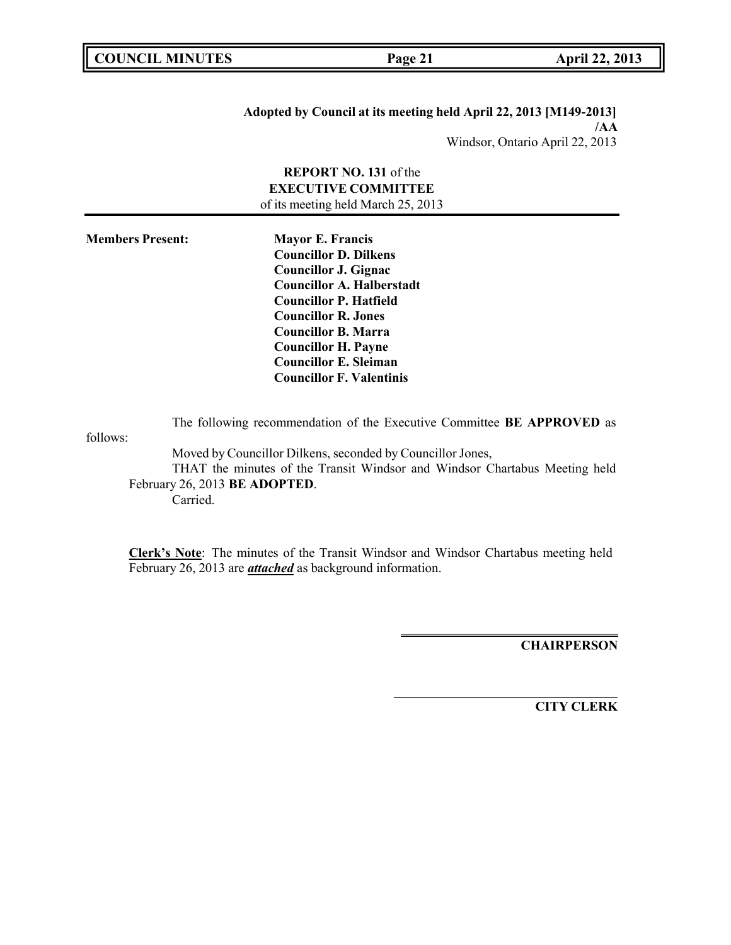**COUNCIL MINUTES Page 21 April 22, 2013**

#### **Adopted by Council at its meeting held April 22, 2013 [M149-2013] /AA**

Windsor, Ontario April 22, 2013

# **REPORT NO. 131** of the **EXECUTIVE COMMITTEE** of its meeting held March 25, 2013

**Members Present: Mayor E. Francis Councillor D. Dilkens Councillor J. Gignac Councillor A. Halberstadt Councillor P. Hatfield Councillor R. Jones Councillor B. Marra Councillor H. Payne Councillor E. Sleiman Councillor F. Valentinis**

The following recommendation of the Executive Committee **BE APPROVED** as

follows:

Moved by Councillor Dilkens, seconded by Councillor Jones,

THAT the minutes of the Transit Windsor and Windsor Chartabus Meeting held February 26, 2013 **BE ADOPTED**. Carried.

**Clerk's Note**: The minutes of the Transit Windsor and Windsor Chartabus meeting held February 26, 2013 are *attached* as background information.

**CHAIRPERSON**

**CITY CLERK**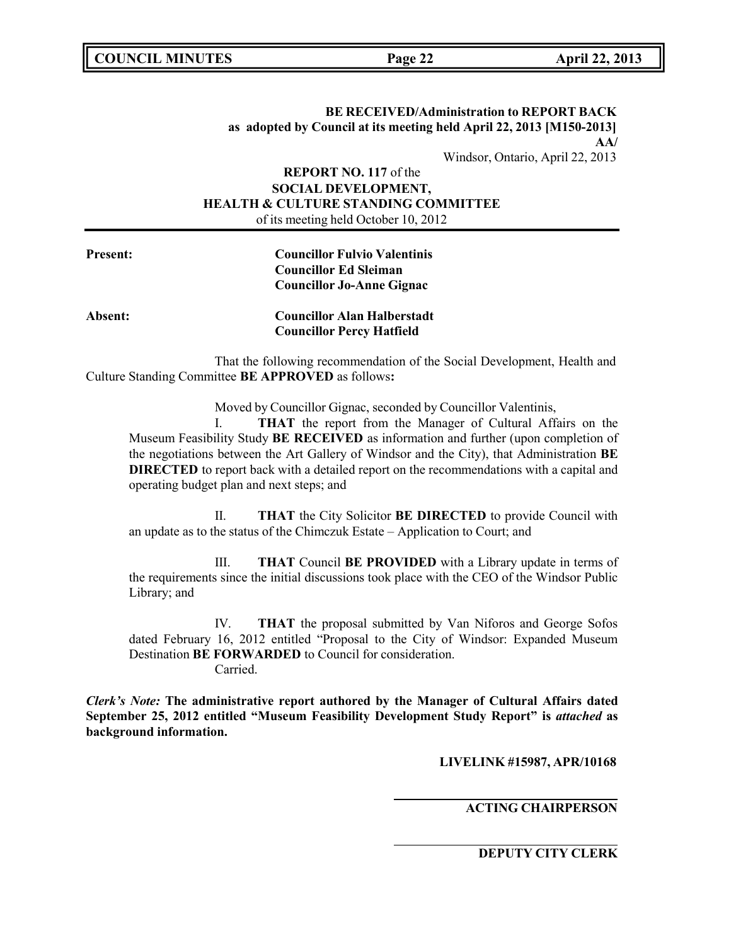# **BE RECEIVED/Administration to REPORT BACK as adopted by Council at its meeting held April 22, 2013 [M150-2013] AA/**

Windsor, Ontario, April 22, 2013

# **REPORT NO. 117** of the **SOCIAL DEVELOPMENT, HEALTH & CULTURE STANDING COMMITTEE** of its meeting held October 10, 2012

| <b>Councillor Fulvio Valentinis</b> |
|-------------------------------------|
| Councillor Ed Sleiman               |
| <b>Councillor Jo-Anne Gignac</b>    |
|                                     |

**Absent: Councillor Alan Halberstadt Councillor Percy Hatfield**

That the following recommendation of the Social Development, Health and Culture Standing Committee **BE APPROVED** as follows**:**

Moved by Councillor Gignac, seconded by Councillor Valentinis,

I. **THAT** the report from the Manager of Cultural Affairs on the Museum Feasibility Study **BE RECEIVED** as information and further (upon completion of the negotiations between the Art Gallery of Windsor and the City), that Administration **BE DIRECTED** to report back with a detailed report on the recommendations with a capital and operating budget plan and next steps; and

II. **THAT** the City Solicitor **BE DIRECTED** to provide Council with an update as to the status of the Chimczuk Estate – Application to Court; and

III. **THAT** Council **BE PROVIDED** with a Library update in terms of the requirements since the initial discussions took place with the CEO of the Windsor Public Library; and

IV. **THAT** the proposal submitted by Van Niforos and George Sofos dated February 16, 2012 entitled "Proposal to the City of Windsor: Expanded Museum Destination **BE FORWARDED** to Council for consideration. Carried.

*Clerk's Note:* **The administrative report authored by the Manager of Cultural Affairs dated September 25, 2012 entitled "Museum Feasibility Development Study Report" is** *attached* **as background information.**

**LIVELINK #15987, APR/10168**

**ACTING CHAIRPERSON**

**DEPUTY CITY CLERK**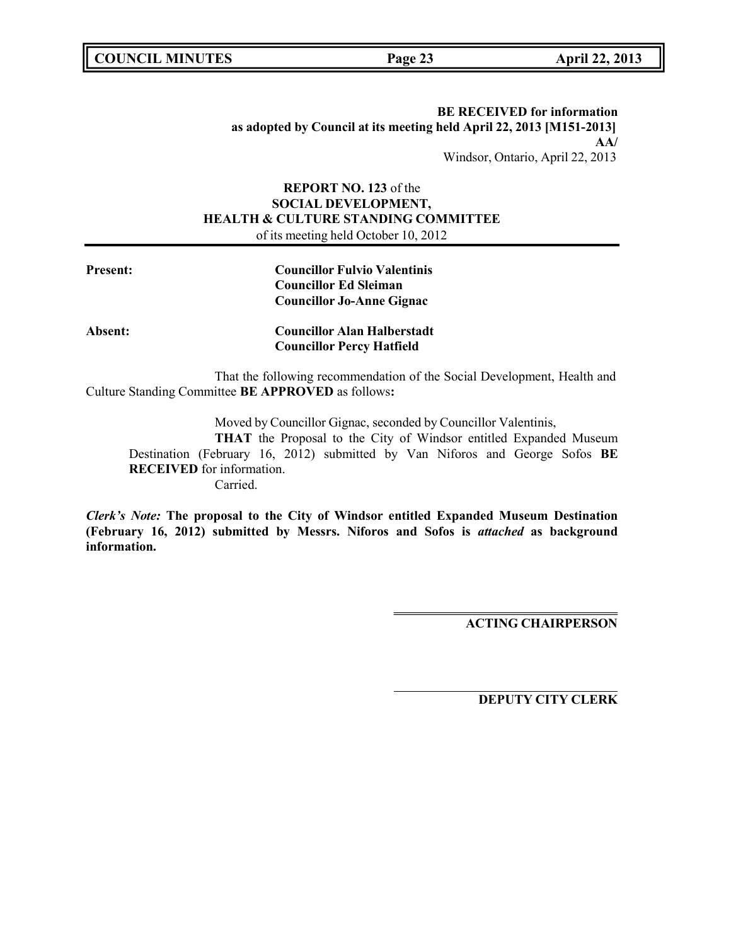**COUNCIL MINUTES Page 23 April 22, 2013**

# **BE RECEIVED for information as adopted by Council at its meeting held April 22, 2013 [M151-2013] AA/** Windsor, Ontario, April 22, 2013

# **REPORT NO. 123** of the **SOCIAL DEVELOPMENT, HEALTH & CULTURE STANDING COMMITTEE** of its meeting held October 10, 2012

| Present: | <b>Councillor Fulvio Valentinis</b> |
|----------|-------------------------------------|
|          | <b>Councillor Ed Sleiman</b>        |
|          | <b>Councillor Jo-Anne Gignac</b>    |
| Absent:  | <b>Councillor Alan Halberstadt</b>  |
|          | <b>Councillor Percy Hatfield</b>    |

That the following recommendation of the Social Development, Health and Culture Standing Committee **BE APPROVED** as follows**:**

Moved by Councillor Gignac, seconded by Councillor Valentinis,

**THAT** the Proposal to the City of Windsor entitled Expanded Museum Destination (February 16, 2012) submitted by Van Niforos and George Sofos **BE RECEIVED** for information. Carried.

*Clerk's Note:* **The proposal to the City of Windsor entitled Expanded Museum Destination (February 16, 2012) submitted by Messrs. Niforos and Sofos is** *attached* **as background information.**

**ACTING CHAIRPERSON**

**DEPUTY CITY CLERK**